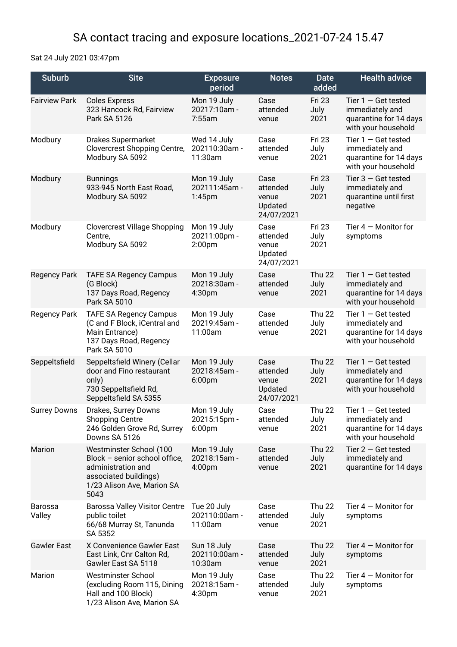## SA contact tracing and exposure locations\_2021-07-24 15.47

Sat 24 July 2021 03:47pm

| <b>Suburb</b>            | <b>Site</b>                                                                                                                                   | <b>Exposure</b><br>period                          | <b>Notes</b>                                       | <b>Date</b><br>added          | <b>Health advice</b>                                                                      |
|--------------------------|-----------------------------------------------------------------------------------------------------------------------------------------------|----------------------------------------------------|----------------------------------------------------|-------------------------------|-------------------------------------------------------------------------------------------|
| <b>Fairview Park</b>     | <b>Coles Express</b><br>323 Hancock Rd, Fairview<br>Park SA 5126                                                                              | Mon 19 July<br>20217:10am -<br>7:55am              | Case<br>attended<br>venue                          | Fri 23<br>July<br>2021        | Tier $1 -$ Get tested<br>immediately and<br>quarantine for 14 days<br>with your household |
| Modbury                  | <b>Drakes Supermarket</b><br>Clovercrest Shopping Centre,<br>Modbury SA 5092                                                                  | Wed 14 July<br>202110:30am -<br>11:30am            | Case<br>attended<br>venue                          | <b>Fri 23</b><br>July<br>2021 | Tier $1 -$ Get tested<br>immediately and<br>quarantine for 14 days<br>with your household |
| Modbury                  | <b>Bunnings</b><br>933-945 North East Road,<br>Modbury SA 5092                                                                                | Mon 19 July<br>202111:45am -<br>1:45 <sub>pm</sub> | Case<br>attended<br>venue<br>Updated<br>24/07/2021 | <b>Fri 23</b><br>July<br>2021 | Tier $3 -$ Get tested<br>immediately and<br>quarantine until first<br>negative            |
| Modbury                  | <b>Clovercrest Village Shopping</b><br>Centre,<br>Modbury SA 5092                                                                             | Mon 19 July<br>20211:00pm -<br>2:00 <sub>pm</sub>  | Case<br>attended<br>venue<br>Updated<br>24/07/2021 | <b>Fri 23</b><br>July<br>2021 | Tier $4 -$ Monitor for<br>symptoms                                                        |
| <b>Regency Park</b>      | <b>TAFE SA Regency Campus</b><br>(G Block)<br>137 Days Road, Regency<br>Park SA 5010                                                          | Mon 19 July<br>20218:30am -<br>4:30pm              | Case<br>attended<br>venue                          | <b>Thu 22</b><br>July<br>2021 | Tier $1 -$ Get tested<br>immediately and<br>quarantine for 14 days<br>with your household |
| <b>Regency Park</b>      | <b>TAFE SA Regency Campus</b><br>(C and F Block, iCentral and<br>Main Entrance)<br>137 Days Road, Regency<br>Park SA 5010                     | Mon 19 July<br>20219:45am -<br>11:00am             | Case<br>attended<br>venue                          | <b>Thu 22</b><br>July<br>2021 | Tier $1 -$ Get tested<br>immediately and<br>quarantine for 14 days<br>with your household |
| Seppeltsfield            | Seppeltsfield Winery (Cellar<br>door and Fino restaurant<br>only)<br>730 Seppeltsfield Rd,<br>Seppeltsfield SA 5355                           | Mon 19 July<br>20218:45am -<br>6:00pm              | Case<br>attended<br>venue<br>Updated<br>24/07/2021 | <b>Thu 22</b><br>July<br>2021 | Tier $1 -$ Get tested<br>immediately and<br>quarantine for 14 days<br>with your household |
| <b>Surrey Downs</b>      | Drakes, Surrey Downs<br><b>Shopping Centre</b><br>246 Golden Grove Rd, Surrey<br>Downs SA 5126                                                | Mon 19 July<br>20215:15pm -<br>6:00pm              | Case<br>attended<br>venue                          | <b>Thu 22</b><br>July<br>2021 | Tier $1 -$ Get tested<br>immediately and<br>quarantine for 14 days<br>with your household |
| <b>Marion</b>            | Westminster School (100<br>Block - senior school office,<br>administration and<br>associated buildings)<br>1/23 Alison Ave, Marion SA<br>5043 | Mon 19 July<br>20218:15am -<br>4:00 <sub>pm</sub>  | Case<br>attended<br>venue                          | Thu 22<br>July<br>2021        | Tier $2 -$ Get tested<br>immediately and<br>quarantine for 14 days                        |
| <b>Barossa</b><br>Valley | <b>Barossa Valley Visitor Centre</b><br>public toilet<br>66/68 Murray St, Tanunda<br>SA 5352                                                  | Tue 20 July<br>202110:00am -<br>11:00am            | Case<br>attended<br>venue                          | Thu 22<br>July<br>2021        | Tier $4 -$ Monitor for<br>symptoms                                                        |
| <b>Gawler East</b>       | X Convenience Gawler East<br>East Link, Cnr Calton Rd,<br>Gawler East SA 5118                                                                 | Sun 18 July<br>202110:00am -<br>10:30am            | Case<br>attended<br>venue                          | <b>Thu 22</b><br>July<br>2021 | Tier $4 -$ Monitor for<br>symptoms                                                        |
| Marion                   | <b>Westminster School</b><br>(excluding Room 115, Dining<br>Hall and 100 Block)<br>1/23 Alison Ave, Marion SA                                 | Mon 19 July<br>20218:15am -<br>4:30pm              | Case<br>attended<br>venue                          | <b>Thu 22</b><br>July<br>2021 | Tier $4 -$ Monitor for<br>symptoms                                                        |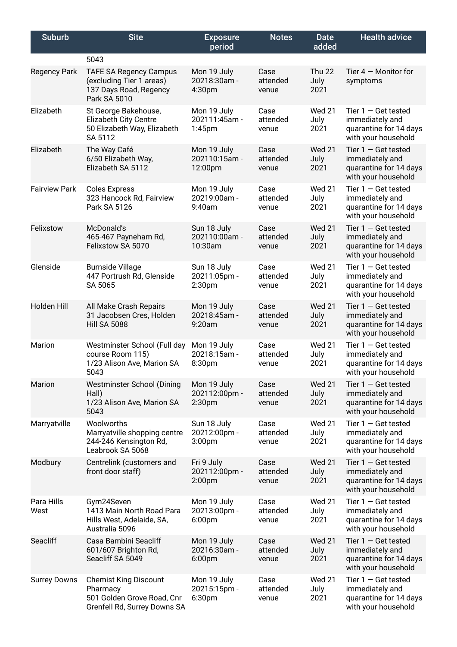| <b>Suburb</b>        | <b>Site</b>                                                                                            | <b>Exposure</b><br>period                          | <b>Notes</b>              | <b>Date</b><br>added          | <b>Health advice</b>                                                                      |
|----------------------|--------------------------------------------------------------------------------------------------------|----------------------------------------------------|---------------------------|-------------------------------|-------------------------------------------------------------------------------------------|
|                      | 5043                                                                                                   |                                                    |                           |                               |                                                                                           |
| <b>Regency Park</b>  | <b>TAFE SA Regency Campus</b><br>(excluding Tier 1 areas)<br>137 Days Road, Regency<br>Park SA 5010    | Mon 19 July<br>20218:30am -<br>4:30pm              | Case<br>attended<br>venue | <b>Thu 22</b><br>July<br>2021 | Tier $4 -$ Monitor for<br>symptoms                                                        |
| Elizabeth            | St George Bakehouse,<br><b>Elizabeth City Centre</b><br>50 Elizabeth Way, Elizabeth<br>SA 5112         | Mon 19 July<br>202111:45am -<br>$1:45$ pm          | Case<br>attended<br>venue | <b>Wed 21</b><br>July<br>2021 | Tier $1 -$ Get tested<br>immediately and<br>quarantine for 14 days<br>with your household |
| Elizabeth            | The Way Café<br>6/50 Elizabeth Way,<br>Elizabeth SA 5112                                               | Mon 19 July<br>202110:15am -<br>12:00pm            | Case<br>attended<br>venue | <b>Wed 21</b><br>July<br>2021 | Tier $1 -$ Get tested<br>immediately and<br>quarantine for 14 days<br>with your household |
| <b>Fairview Park</b> | <b>Coles Express</b><br>323 Hancock Rd, Fairview<br>Park SA 5126                                       | Mon 19 July<br>20219:00am -<br>9:40am              | Case<br>attended<br>venue | <b>Wed 21</b><br>July<br>2021 | Tier $1 -$ Get tested<br>immediately and<br>quarantine for 14 days<br>with your household |
| Felixstow            | McDonald's<br>465-467 Payneham Rd,<br>Felixstow SA 5070                                                | Sun 18 July<br>202110:00am -<br>10:30am            | Case<br>attended<br>venue | <b>Wed 21</b><br>July<br>2021 | Tier $1 -$ Get tested<br>immediately and<br>quarantine for 14 days<br>with your household |
| Glenside             | <b>Burnside Village</b><br>447 Portrush Rd, Glenside<br>SA 5065                                        | Sun 18 July<br>20211:05pm -<br>2:30 <sub>pm</sub>  | Case<br>attended<br>venue | <b>Wed 21</b><br>July<br>2021 | Tier $1 -$ Get tested<br>immediately and<br>quarantine for 14 days<br>with your household |
| <b>Holden Hill</b>   | All Make Crash Repairs<br>31 Jacobsen Cres, Holden<br><b>Hill SA 5088</b>                              | Mon 19 July<br>20218:45am -<br>9:20am              | Case<br>attended<br>venue | <b>Wed 21</b><br>July<br>2021 | Tier $1 -$ Get tested<br>immediately and<br>quarantine for 14 days<br>with your household |
| Marion               | Westminster School (Full day<br>course Room 115)<br>1/23 Alison Ave, Marion SA<br>5043                 | Mon 19 July<br>20218:15am -<br>8:30pm              | Case<br>attended<br>venue | <b>Wed 21</b><br>July<br>2021 | Tier $1 -$ Get tested<br>immediately and<br>quarantine for 14 days<br>with your household |
| <b>Marion</b>        | <b>Westminster School (Dining</b><br>Hall)<br>1/23 Alison Ave, Marion SA<br>5043                       | Mon 19 July<br>202112:00pm -<br>2:30 <sub>pm</sub> | Case<br>attended<br>venue | <b>Wed 21</b><br>July<br>2021 | Tier $1 -$ Get tested<br>immediately and<br>quarantine for 14 days<br>with your household |
| Marryatville         | Woolworths<br>Marryatville shopping centre<br>244-246 Kensington Rd,<br>Leabrook SA 5068               | Sun 18 July<br>20212:00pm -<br>3:00 <sub>pm</sub>  | Case<br>attended<br>venue | <b>Wed 21</b><br>July<br>2021 | Tier $1 -$ Get tested<br>immediately and<br>quarantine for 14 days<br>with your household |
| Modbury              | Centrelink (customers and<br>front door staff)                                                         | Fri 9 July<br>202112:00pm -<br>2:00pm              | Case<br>attended<br>venue | <b>Wed 21</b><br>July<br>2021 | Tier $1 -$ Get tested<br>immediately and<br>quarantine for 14 days<br>with your household |
| Para Hills<br>West   | Gym24Seven<br>1413 Main North Road Para<br>Hills West, Adelaide, SA,<br>Australia 5096                 | Mon 19 July<br>20213:00pm -<br>6:00 <sub>pm</sub>  | Case<br>attended<br>venue | <b>Wed 21</b><br>July<br>2021 | Tier $1 -$ Get tested<br>immediately and<br>quarantine for 14 days<br>with your household |
| Seacliff             | Casa Bambini Seacliff<br>601/607 Brighton Rd,<br>Seacliff SA 5049                                      | Mon 19 July<br>20216:30am -<br>6:00 <sub>pm</sub>  | Case<br>attended<br>venue | <b>Wed 21</b><br>July<br>2021 | Tier $1 -$ Get tested<br>immediately and<br>quarantine for 14 days<br>with your household |
| <b>Surrey Downs</b>  | <b>Chemist King Discount</b><br>Pharmacy<br>501 Golden Grove Road, Cnr<br>Grenfell Rd, Surrey Downs SA | Mon 19 July<br>20215:15pm -<br>6:30pm              | Case<br>attended<br>venue | <b>Wed 21</b><br>July<br>2021 | Tier $1 -$ Get tested<br>immediately and<br>quarantine for 14 days<br>with your household |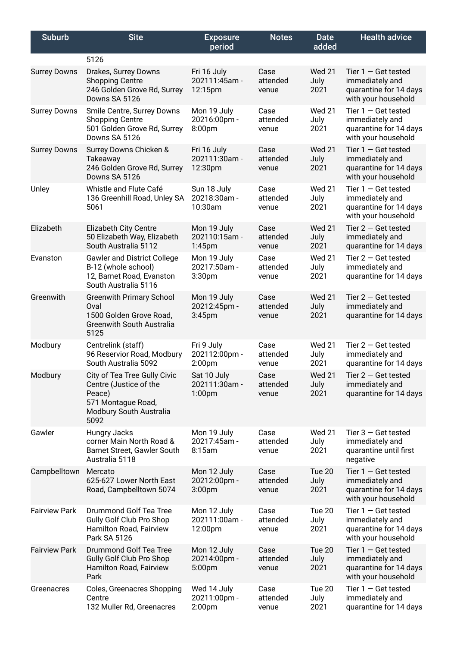| <b>Suburb</b>        | <b>Site</b>                                                                                                               | <b>Exposure</b><br>period                          | <b>Notes</b>              | Date<br>added                 | <b>Health advice</b>                                                                      |
|----------------------|---------------------------------------------------------------------------------------------------------------------------|----------------------------------------------------|---------------------------|-------------------------------|-------------------------------------------------------------------------------------------|
|                      | 5126                                                                                                                      |                                                    |                           |                               |                                                                                           |
| <b>Surrey Downs</b>  | Drakes, Surrey Downs<br><b>Shopping Centre</b><br>246 Golden Grove Rd, Surrey<br>Downs SA 5126                            | Fri 16 July<br>202111:45am -<br>12:15pm            | Case<br>attended<br>venue | <b>Wed 21</b><br>July<br>2021 | Tier $1 -$ Get tested<br>immediately and<br>quarantine for 14 days<br>with your household |
| <b>Surrey Downs</b>  | Smile Centre, Surrey Downs<br><b>Shopping Centre</b><br>501 Golden Grove Rd, Surrey<br>Downs SA 5126                      | Mon 19 July<br>20216:00pm -<br>8:00pm              | Case<br>attended<br>venue | <b>Wed 21</b><br>July<br>2021 | Tier $1 -$ Get tested<br>immediately and<br>quarantine for 14 days<br>with your household |
| <b>Surrey Downs</b>  | Surrey Downs Chicken &<br>Takeaway<br>246 Golden Grove Rd, Surrey<br>Downs SA 5126                                        | Fri 16 July<br>202111:30am-<br>12:30pm             | Case<br>attended<br>venue | <b>Wed 21</b><br>July<br>2021 | Tier $1 -$ Get tested<br>immediately and<br>quarantine for 14 days<br>with your household |
| Unley                | Whistle and Flute Café<br>136 Greenhill Road, Unley SA<br>5061                                                            | Sun 18 July<br>20218:30am -<br>10:30am             | Case<br>attended<br>venue | <b>Wed 21</b><br>July<br>2021 | Tier $1 -$ Get tested<br>immediately and<br>quarantine for 14 days<br>with your household |
| Elizabeth            | <b>Elizabeth City Centre</b><br>50 Elizabeth Way, Elizabeth<br>South Australia 5112                                       | Mon 19 July<br>202110:15am -<br>1:45 <sub>pm</sub> | Case<br>attended<br>venue | <b>Wed 21</b><br>July<br>2021 | Tier $2 -$ Get tested<br>immediately and<br>quarantine for 14 days                        |
| Evanston             | <b>Gawler and District College</b><br>B-12 (whole school)<br>12, Barnet Road, Evanston<br>South Australia 5116            | Mon 19 July<br>20217:50am -<br>3:30pm              | Case<br>attended<br>venue | <b>Wed 21</b><br>July<br>2021 | Tier $2 -$ Get tested<br>immediately and<br>quarantine for 14 days                        |
| Greenwith            | <b>Greenwith Primary School</b><br>Oval<br>1500 Golden Grove Road,<br><b>Greenwith South Australia</b><br>5125            | Mon 19 July<br>20212:45pm -<br>3:45 <sub>pm</sub>  | Case<br>attended<br>venue | <b>Wed 21</b><br>July<br>2021 | Tier $2 -$ Get tested<br>immediately and<br>quarantine for 14 days                        |
| Modbury              | Centrelink (staff)<br>96 Reservior Road, Modbury<br>South Australia 5092                                                  | Fri 9 July<br>202112:00pm -<br>2:00 <sub>pm</sub>  | Case<br>attended<br>venue | <b>Wed 21</b><br>July<br>2021 | Tier $2 -$ Get tested<br>immediately and<br>quarantine for 14 days                        |
| Modbury              | City of Tea Tree Gully Civic<br>Centre (Justice of the<br>Peace)<br>571 Montague Road,<br>Modbury South Australia<br>5092 | Sat 10 July<br>202111:30am -<br>1:00 <sub>pm</sub> | Case<br>attended<br>venue | <b>Wed 21</b><br>July<br>2021 | Tier $2 -$ Get tested<br>immediately and<br>quarantine for 14 days                        |
| Gawler               | Hungry Jacks<br>corner Main North Road &<br>Barnet Street, Gawler South<br>Australia 5118                                 | Mon 19 July<br>20217:45am -<br>8:15am              | Case<br>attended<br>venue | <b>Wed 21</b><br>July<br>2021 | Tier $3 -$ Get tested<br>immediately and<br>quarantine until first<br>negative            |
| Campbelltown         | Mercato<br>625-627 Lower North East<br>Road, Campbelltown 5074                                                            | Mon 12 July<br>20212:00pm -<br>3:00pm              | Case<br>attended<br>venue | Tue 20<br>July<br>2021        | Tier $1 -$ Get tested<br>immediately and<br>quarantine for 14 days<br>with your household |
| <b>Fairview Park</b> | Drummond Golf Tea Tree<br>Gully Golf Club Pro Shop<br>Hamilton Road, Fairview<br>Park SA 5126                             | Mon 12 July<br>202111:00am -<br>12:00pm            | Case<br>attended<br>venue | Tue 20<br>July<br>2021        | Tier $1 -$ Get tested<br>immediately and<br>quarantine for 14 days<br>with your household |
| <b>Fairview Park</b> | <b>Drummond Golf Tea Tree</b><br>Gully Golf Club Pro Shop<br>Hamilton Road, Fairview<br>Park                              | Mon 12 July<br>20214:00pm -<br>5:00pm              | Case<br>attended<br>venue | Tue 20<br>July<br>2021        | Tier $1 -$ Get tested<br>immediately and<br>quarantine for 14 days<br>with your household |
| Greenacres           | Coles, Greenacres Shopping<br>Centre<br>132 Muller Rd, Greenacres                                                         | Wed 14 July<br>20211:00pm -<br>2:00 <sub>pm</sub>  | Case<br>attended<br>venue | Tue 20<br>July<br>2021        | Tier $1 -$ Get tested<br>immediately and<br>quarantine for 14 days                        |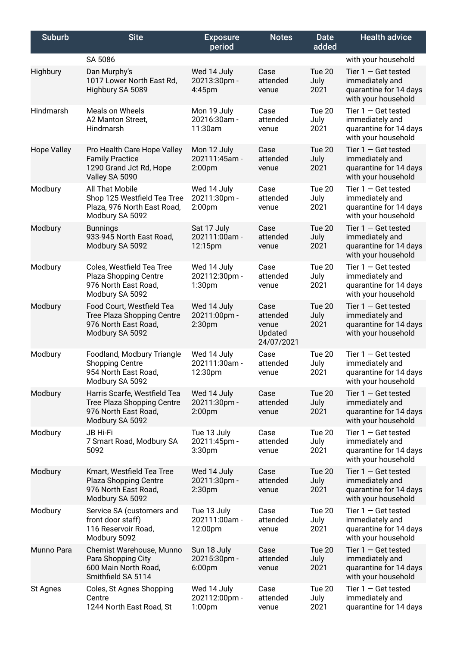| <b>Suburb</b>      | <b>Site</b>                                                                                               | <b>Exposure</b><br>period                          | <b>Notes</b>                                       | <b>Date</b><br>added   | <b>Health advice</b>                                                                      |
|--------------------|-----------------------------------------------------------------------------------------------------------|----------------------------------------------------|----------------------------------------------------|------------------------|-------------------------------------------------------------------------------------------|
|                    | SA 5086                                                                                                   |                                                    |                                                    |                        | with your household                                                                       |
| Highbury           | Dan Murphy's<br>1017 Lower North East Rd,<br>Highbury SA 5089                                             | Wed 14 July<br>20213:30pm -<br>4:45pm              | Case<br>attended<br>venue                          | Tue 20<br>July<br>2021 | Tier $1 -$ Get tested<br>immediately and<br>quarantine for 14 days<br>with your household |
| Hindmarsh          | Meals on Wheels<br>A2 Manton Street,<br>Hindmarsh                                                         | Mon 19 July<br>20216:30am -<br>11:30am             | Case<br>attended<br>venue                          | Tue 20<br>July<br>2021 | Tier $1 -$ Get tested<br>immediately and<br>quarantine for 14 days<br>with your household |
| <b>Hope Valley</b> | Pro Health Care Hope Valley<br><b>Family Practice</b><br>1290 Grand Jct Rd, Hope<br>Valley SA 5090        | Mon 12 July<br>202111:45am -<br>2:00 <sub>pm</sub> | Case<br>attended<br>venue                          | Tue 20<br>July<br>2021 | Tier $1 -$ Get tested<br>immediately and<br>quarantine for 14 days<br>with your household |
| Modbury            | All That Mobile<br>Shop 125 Westfield Tea Tree<br>Plaza, 976 North East Road,<br>Modbury SA 5092          | Wed 14 July<br>20211:30pm -<br>2:00 <sub>pm</sub>  | Case<br>attended<br>venue                          | Tue 20<br>July<br>2021 | Tier $1 -$ Get tested<br>immediately and<br>quarantine for 14 days<br>with your household |
| Modbury            | <b>Bunnings</b><br>933-945 North East Road,<br>Modbury SA 5092                                            | Sat 17 July<br>202111:00am -<br>12:15pm            | Case<br>attended<br>venue                          | Tue 20<br>July<br>2021 | Tier $1 -$ Get tested<br>immediately and<br>quarantine for 14 days<br>with your household |
| Modbury            | Coles, Westfield Tea Tree<br>Plaza Shopping Centre<br>976 North East Road,<br>Modbury SA 5092             | Wed 14 July<br>202112:30pm -<br>1:30 <sub>pm</sub> | Case<br>attended<br>venue                          | Tue 20<br>July<br>2021 | Tier $1 -$ Get tested<br>immediately and<br>quarantine for 14 days<br>with your household |
| Modbury            | Food Court, Westfield Tea<br><b>Tree Plaza Shopping Centre</b><br>976 North East Road,<br>Modbury SA 5092 | Wed 14 July<br>20211:00pm -<br>2:30 <sub>pm</sub>  | Case<br>attended<br>venue<br>Updated<br>24/07/2021 | Tue 20<br>July<br>2021 | Tier $1 -$ Get tested<br>immediately and<br>quarantine for 14 days<br>with your household |
| Modbury            | Foodland, Modbury Triangle<br><b>Shopping Centre</b><br>954 North East Road,<br>Modbury SA 5092           | Wed 14 July<br>202111:30am -<br>12:30pm            | Case<br>attended<br>venue                          | Tue 20<br>July<br>2021 | Tier $1 -$ Get tested<br>immediately and<br>quarantine for 14 days<br>with your household |
| Modbury            | Harris Scarfe, Westfield Tea<br>Tree Plaza Shopping Centre<br>976 North East Road,<br>Modbury SA 5092     | Wed 14 July<br>20211:30pm -<br>2:00 <sub>pm</sub>  | Case<br>attended<br>venue                          | Tue 20<br>July<br>2021 | Tier $1 -$ Get tested<br>immediately and<br>quarantine for 14 days<br>with your household |
| Modbury            | JB Hi-Fi<br>7 Smart Road, Modbury SA<br>5092                                                              | Tue 13 July<br>20211:45pm -<br>3:30 <sub>pm</sub>  | Case<br>attended<br>venue                          | Tue 20<br>July<br>2021 | Tier $1 -$ Get tested<br>immediately and<br>quarantine for 14 days<br>with your household |
| Modbury            | Kmart, Westfield Tea Tree<br>Plaza Shopping Centre<br>976 North East Road,<br>Modbury SA 5092             | Wed 14 July<br>20211:30pm -<br>2:30 <sub>pm</sub>  | Case<br>attended<br>venue                          | Tue 20<br>July<br>2021 | Tier $1 -$ Get tested<br>immediately and<br>quarantine for 14 days<br>with your household |
| Modbury            | Service SA (customers and<br>front door staff)<br>116 Reservoir Road,<br>Modbury 5092                     | Tue 13 July<br>202111:00am -<br>12:00pm            | Case<br>attended<br>venue                          | Tue 20<br>July<br>2021 | Tier $1 -$ Get tested<br>immediately and<br>quarantine for 14 days<br>with your household |
| Munno Para         | Chemist Warehouse, Munno<br>Para Shopping City<br>600 Main North Road,<br>Smithfield SA 5114              | Sun 18 July<br>20215:30pm -<br>6:00 <sub>pm</sub>  | Case<br>attended<br>venue                          | Tue 20<br>July<br>2021 | Tier $1 -$ Get tested<br>immediately and<br>quarantine for 14 days<br>with your household |
| St Agnes           | Coles, St Agnes Shopping<br>Centre<br>1244 North East Road, St                                            | Wed 14 July<br>202112:00pm -<br>1:00 <sub>pm</sub> | Case<br>attended<br>venue                          | Tue 20<br>July<br>2021 | Tier $1 -$ Get tested<br>immediately and<br>quarantine for 14 days                        |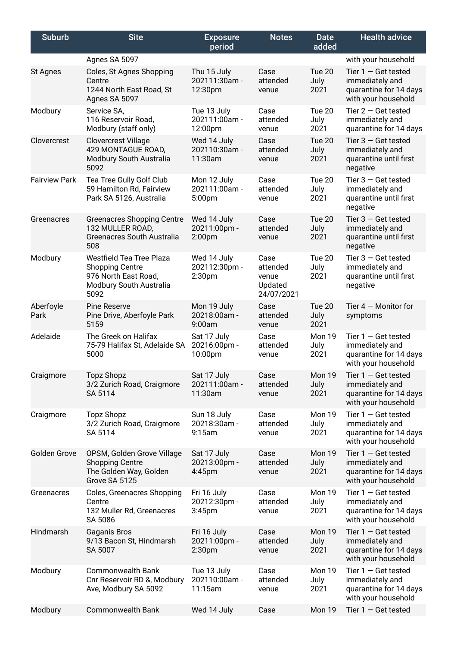| <b>Suburb</b>        | <b>Site</b>                                                                                                          | <b>Exposure</b><br>period                          | <b>Notes</b>                                       | Date<br>added          | <b>Health advice</b>                                                                      |
|----------------------|----------------------------------------------------------------------------------------------------------------------|----------------------------------------------------|----------------------------------------------------|------------------------|-------------------------------------------------------------------------------------------|
|                      | Agnes SA 5097                                                                                                        |                                                    |                                                    |                        | with your household                                                                       |
| St Agnes             | Coles, St Agnes Shopping<br>Centre<br>1244 North East Road, St<br>Agnes SA 5097                                      | Thu 15 July<br>202111:30am -<br>12:30pm            | Case<br>attended<br>venue                          | Tue 20<br>July<br>2021 | Tier $1 -$ Get tested<br>immediately and<br>quarantine for 14 days<br>with your household |
| Modbury              | Service SA,<br>116 Reservoir Road,<br>Modbury (staff only)                                                           | Tue 13 July<br>202111:00am -<br>12:00pm            | Case<br>attended<br>venue                          | Tue 20<br>July<br>2021 | Tier $2 -$ Get tested<br>immediately and<br>quarantine for 14 days                        |
| Clovercrest          | <b>Clovercrest Village</b><br>429 MONTAGUE ROAD,<br>Modbury South Australia<br>5092                                  | Wed 14 July<br>202110:30am -<br>11:30am            | Case<br>attended<br>venue                          | Tue 20<br>July<br>2021 | Tier $3 -$ Get tested<br>immediately and<br>quarantine until first<br>negative            |
| <b>Fairview Park</b> | Tea Tree Gully Golf Club<br>59 Hamilton Rd, Fairview<br>Park SA 5126, Australia                                      | Mon 12 July<br>202111:00am -<br>5:00pm             | Case<br>attended<br>venue                          | Tue 20<br>July<br>2021 | Tier $3 -$ Get tested<br>immediately and<br>quarantine until first<br>negative            |
| Greenacres           | <b>Greenacres Shopping Centre</b><br>132 MULLER ROAD,<br>Greenacres South Australia<br>508                           | Wed 14 July<br>20211:00pm -<br>2:00 <sub>pm</sub>  | Case<br>attended<br>venue                          | Tue 20<br>July<br>2021 | Tier $3 -$ Get tested<br>immediately and<br>quarantine until first<br>negative            |
| Modbury              | <b>Westfield Tea Tree Plaza</b><br><b>Shopping Centre</b><br>976 North East Road,<br>Modbury South Australia<br>5092 | Wed 14 July<br>202112:30pm -<br>2:30 <sub>pm</sub> | Case<br>attended<br>venue<br>Updated<br>24/07/2021 | Tue 20<br>July<br>2021 | Tier $3 -$ Get tested<br>immediately and<br>quarantine until first<br>negative            |
| Aberfoyle<br>Park    | <b>Pine Reserve</b><br>Pine Drive, Aberfoyle Park<br>5159                                                            | Mon 19 July<br>20218:00am -<br>9:00am              | Case<br>attended<br>venue                          | Tue 20<br>July<br>2021 | Tier $4 -$ Monitor for<br>symptoms                                                        |
| Adelaide             | The Greek on Halifax<br>75-79 Halifax St, Adelaide SA<br>5000                                                        | Sat 17 July<br>20216:00pm -<br>10:00pm             | Case<br>attended<br>venue                          | Mon 19<br>July<br>2021 | Tier $1 -$ Get tested<br>immediately and<br>quarantine for 14 days<br>with your household |
| Craigmore            | <b>Topz Shopz</b><br>3/2 Zurich Road, Craigmore<br>SA 5114                                                           | Sat 17 July<br>202111:00am -<br>11:30am            | Case<br>attended<br>venue                          | Mon 19<br>July<br>2021 | Tier $1 -$ Get tested<br>immediately and<br>quarantine for 14 days<br>with your household |
| Craigmore            | <b>Topz Shopz</b><br>3/2 Zurich Road, Craigmore<br>SA 5114                                                           | Sun 18 July<br>20218:30am -<br>9:15am              | Case<br>attended<br>venue                          | Mon 19<br>July<br>2021 | Tier $1 -$ Get tested<br>immediately and<br>quarantine for 14 days<br>with your household |
| Golden Grove         | OPSM, Golden Grove Village<br><b>Shopping Centre</b><br>The Golden Way, Golden<br>Grove SA 5125                      | Sat 17 July<br>20213:00pm -<br>4:45 <sub>pm</sub>  | Case<br>attended<br>venue                          | Mon 19<br>July<br>2021 | Tier $1 -$ Get tested<br>immediately and<br>quarantine for 14 days<br>with your household |
| Greenacres           | Coles, Greenacres Shopping<br>Centre<br>132 Muller Rd, Greenacres<br>SA 5086                                         | Fri 16 July<br>20212:30pm -<br>3:45 <sub>pm</sub>  | Case<br>attended<br>venue                          | Mon 19<br>July<br>2021 | Tier $1 -$ Get tested<br>immediately and<br>quarantine for 14 days<br>with your household |
| Hindmarsh            | <b>Gaganis Bros</b><br>9/13 Bacon St, Hindmarsh<br>SA 5007                                                           | Fri 16 July<br>20211:00pm -<br>2:30 <sub>pm</sub>  | Case<br>attended<br>venue                          | Mon 19<br>July<br>2021 | Tier $1 -$ Get tested<br>immediately and<br>quarantine for 14 days<br>with your household |
| Modbury              | <b>Commonwealth Bank</b><br>Cnr Reservoir RD &, Modbury<br>Ave, Modbury SA 5092                                      | Tue 13 July<br>202110:00am -<br>11:15am            | Case<br>attended<br>venue                          | Mon 19<br>July<br>2021 | Tier $1 -$ Get tested<br>immediately and<br>quarantine for 14 days<br>with your household |
| Modbury              | <b>Commonwealth Bank</b>                                                                                             | Wed 14 July                                        | Case                                               | Mon 19                 | Tier $1 -$ Get tested                                                                     |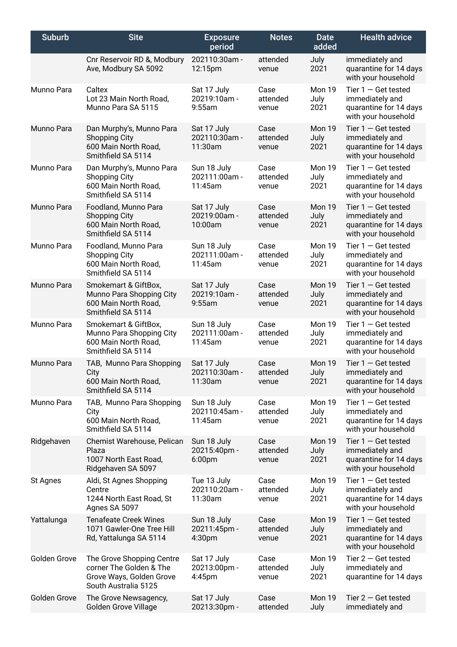| <b>Suburb</b> | <b>Site</b>                                                                                              | <b>Exposure</b><br>period                         | <b>Notes</b>              | <b>Date</b><br>added   | <b>Health advice</b>                                                                      |
|---------------|----------------------------------------------------------------------------------------------------------|---------------------------------------------------|---------------------------|------------------------|-------------------------------------------------------------------------------------------|
|               | Cnr Reservoir RD &, Modbury<br>Ave, Modbury SA 5092                                                      | 202110:30am -<br>12:15pm                          | attended<br>venue         | July<br>2021           | immediately and<br>quarantine for 14 days<br>with your household                          |
| Munno Para    | Caltex<br>Lot 23 Main North Road,<br>Munno Para SA 5115                                                  | Sat 17 July<br>20219:10am -<br>$9:55$ am          | Case<br>attended<br>venue | Mon 19<br>July<br>2021 | Tier $1 -$ Get tested<br>immediately and<br>quarantine for 14 days<br>with your household |
| Munno Para    | Dan Murphy's, Munno Para<br><b>Shopping City</b><br>600 Main North Road,<br>Smithfield SA 5114           | Sat 17 July<br>202110:30am -<br>11:30am           | Case<br>attended<br>venue | Mon 19<br>July<br>2021 | Tier $1 -$ Get tested<br>immediately and<br>quarantine for 14 days<br>with your household |
| Munno Para    | Dan Murphy's, Munno Para<br><b>Shopping City</b><br>600 Main North Road,<br>Smithfield SA 5114           | Sun 18 July<br>202111:00am -<br>11:45am           | Case<br>attended<br>venue | Mon 19<br>July<br>2021 | Tier $1 -$ Get tested<br>immediately and<br>quarantine for 14 days<br>with your household |
| Munno Para    | Foodland, Munno Para<br><b>Shopping City</b><br>600 Main North Road,<br>Smithfield SA 5114               | Sat 17 July<br>20219:00am -<br>10:00am            | Case<br>attended<br>venue | Mon 19<br>July<br>2021 | Tier $1 -$ Get tested<br>immediately and<br>quarantine for 14 days<br>with your household |
| Munno Para    | Foodland, Munno Para<br><b>Shopping City</b><br>600 Main North Road,<br>Smithfield SA 5114               | Sun 18 July<br>202111:00am -<br>11:45am           | Case<br>attended<br>venue | Mon 19<br>July<br>2021 | Tier $1 -$ Get tested<br>immediately and<br>quarantine for 14 days<br>with your household |
| Munno Para    | Smokemart & GiftBox,<br>Munno Para Shopping City<br>600 Main North Road,<br>Smithfield SA 5114           | Sat 17 July<br>20219:10am -<br>$9:55$ am          | Case<br>attended<br>venue | Mon 19<br>July<br>2021 | Tier $1 -$ Get tested<br>immediately and<br>quarantine for 14 days<br>with your household |
| Munno Para    | Smokemart & GiftBox,<br>Munno Para Shopping City<br>600 Main North Road,<br>Smithfield SA 5114           | Sun 18 July<br>202111:00am -<br>11:45am           | Case<br>attended<br>venue | Mon 19<br>July<br>2021 | Tier $1 -$ Get tested<br>immediately and<br>quarantine for 14 days<br>with your household |
| Munno Para    | TAB, Munno Para Shopping<br>City<br>600 Main North Road,<br>Smithfield SA 5114                           | Sat 17 July<br>$202110:30am -$<br>11:30am         | Case<br>attended<br>venue | Mon 19<br>July<br>2021 | Tier $1 -$ Get tested<br>immediately and<br>quarantine for 14 days<br>with your household |
| Munno Para    | TAB, Munno Para Shopping<br>City<br>600 Main North Road,<br>Smithfield SA 5114                           | Sun 18 July<br>202110:45am -<br>11:45am           | Case<br>attended<br>venue | Mon 19<br>July<br>2021 | Tier $1 -$ Get tested<br>immediately and<br>quarantine for 14 days<br>with your household |
| Ridgehaven    | Chemist Warehouse, Pelican<br>Plaza<br>1007 North East Road,<br>Ridgehaven SA 5097                       | Sun 18 July<br>20215:40pm -<br>6:00 <sub>pm</sub> | Case<br>attended<br>venue | Mon 19<br>July<br>2021 | Tier $1 -$ Get tested<br>immediately and<br>quarantine for 14 days<br>with your household |
| St Agnes      | Aldi, St Agnes Shopping<br>Centre<br>1244 North East Road, St<br>Agnes SA 5097                           | Tue 13 July<br>202110:20am -<br>11:30am           | Case<br>attended<br>venue | Mon 19<br>July<br>2021 | Tier $1 -$ Get tested<br>immediately and<br>quarantine for 14 days<br>with your household |
| Yattalunga    | <b>Tenafeate Creek Wines</b><br>1071 Gawler-One Tree Hill<br>Rd, Yattalunga SA 5114                      | Sun 18 July<br>20211:45pm -<br>4:30 <sub>pm</sub> | Case<br>attended<br>venue | Mon 19<br>July<br>2021 | Tier $1 -$ Get tested<br>immediately and<br>quarantine for 14 days<br>with your household |
| Golden Grove  | The Grove Shopping Centre<br>corner The Golden & The<br>Grove Ways, Golden Grove<br>South Australia 5125 | Sat 17 July<br>20213:00pm -<br>4:45 <sub>pm</sub> | Case<br>attended<br>venue | Mon 19<br>July<br>2021 | Tier $2 -$ Get tested<br>immediately and<br>quarantine for 14 days                        |
| Golden Grove  | The Grove Newsagency,<br>Golden Grove Village                                                            | Sat 17 July<br>20213:30pm -                       | Case<br>attended          | Mon 19<br>July         | Tier $2 -$ Get tested<br>immediately and                                                  |